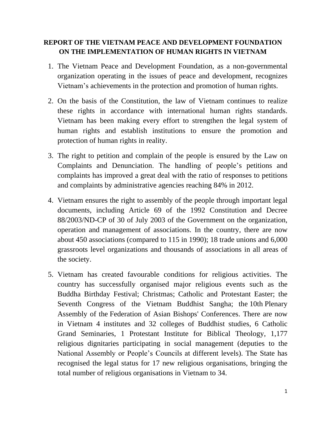## **REPORT OF THE VIETNAM PEACE AND DEVELOPMENT FOUNDATION ON THE IMPLEMENTATION OF HUMAN RIGHTS IN VIETNAM**

- 1. The Vietnam Peace and Development Foundation, as a non-governmental organization operating in the issues of peace and development, recognizes Vietnam's achievements in the protection and promotion of human rights.
- 2. On the basis of the Constitution, the law of Vietnam continues to realize these rights in accordance with international human rights standards. Vietnam has been making every effort to strengthen the legal system of human rights and establish institutions to ensure the promotion and protection of human rights in reality.
- 3. The right to petition and complain of the people is ensured by the Law on Complaints and Denunciation. The handling of people's petitions and complaints has improved a great deal with the ratio of responses to petitions and complaints by administrative agencies reaching 84% in 2012.
- 4. Vietnam ensures the right to assembly of the people through important legal documents, including Article 69 of the 1992 Constitution and Decree 88/2003/ND-CP of 30 of July 2003 of the Government on the organization, operation and management of associations. In the country, there are now about 450 associations (compared to 115 in 1990); 18 trade unions and 6,000 grassroots level organizations and thousands of associations in all areas of the society.
- 5. Vietnam has created favourable conditions for religious activities. The country has successfully organised major religious events such as the Buddha Birthday Festival; Christmas; Catholic and Protestant Easter; the Seventh Congress of the Vietnam Buddhist Sangha; the 10th Plenary Assembly of the Federation of Asian Bishops' Conferences. There are now in Vietnam 4 institutes and 32 colleges of Buddhist studies, 6 Catholic Grand Seminaries, 1 Protestant Institute for Biblical Theology, 1,177 religious dignitaries participating in social management (deputies to the National Assembly or People's Councils at different levels). The State has recognised the legal status for 17 new religious organisations, bringing the total number of religious organisations in Vietnam to 34.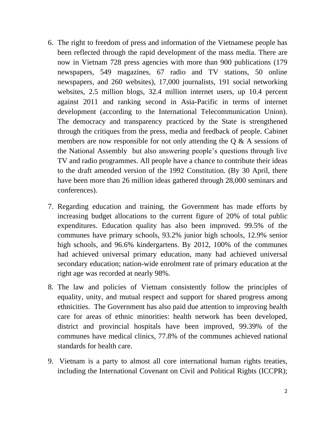- 6. The right to freedom of press and information of the Vietnamese people has been reflected through the rapid development of the mass media. There are now in Vietnam 728 press agencies with more than 900 publications (179 newspapers, 549 magazines, 67 radio and TV stations, 50 online newspapers, and 260 websites), 17,000 journalists, 191 social networking websites, 2.5 million blogs, 32.4 million internet users, up 10.4 percent against 2011 and ranking second in Asia-Pacific in terms of internet development (according to the International Telecommunication Union). The democracy and transparency practiced by the State is strengthened through the critiques from the press, media and feedback of people. Cabinet members are now responsible for not only attending the Q & A sessions of the National Assembly but also answering people's questions through live TV and radio programmes. All people have a chance to contribute their ideas to the draft amended version of the 1992 Constitution. (By 30 April, there have been more than 26 million ideas gathered through 28,000 seminars and conferences).
- 7. Regarding education and training, the Government has made efforts by increasing budget allocations to the current figure of 20% of total public expenditures. Education quality has also been improved. 99.5% of the communes have primary schools, 93.2% junior high schools, 12.9% senior high schools, and 96.6% kindergartens. By 2012, 100% of the communes had achieved universal primary education, many had achieved universal secondary education; nation-wide enrolment rate of primary education at the right age was recorded at nearly 98%.
- 8. The law and policies of Vietnam consistently follow the principles of equality, unity, and mutual respect and support for shared progress among ethnicities. The Government has also paid due attention to improving health care for areas of ethnic minorities: health network has been developed, district and provincial hospitals have been improved, 99.39% of the communes have medical clinics, 77.8% of the communes achieved national standards for health care.
- 9. Vietnam is a party to almost all core international human rights treaties, including the International Covenant on Civil and Political Rights (ICCPR);